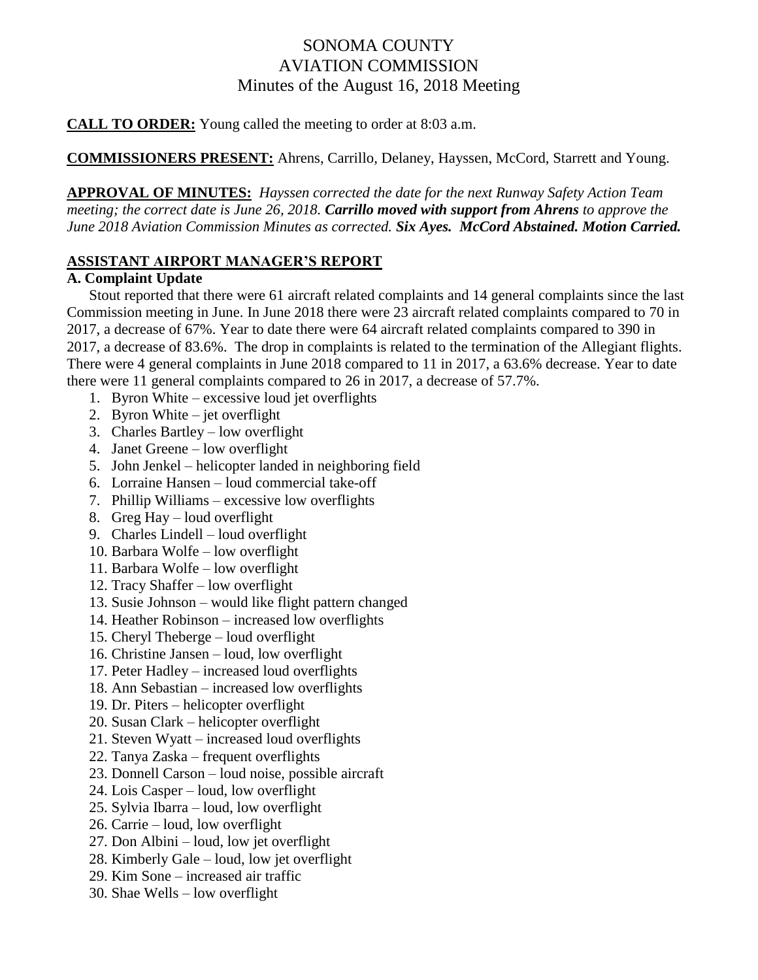# SONOMA COUNTY AVIATION COMMISSION Minutes of the August 16, 2018 Meeting

**CALL TO ORDER:** Young called the meeting to order at 8:03 a.m.

**COMMISSIONERS PRESENT:** Ahrens, Carrillo, Delaney, Hayssen, McCord, Starrett and Young.

**APPROVAL OF MINUTES:** *Hayssen corrected the date for the next Runway Safety Action Team meeting; the correct date is June 26, 2018. Carrillo moved with support from Ahrens to approve the June 2018 Aviation Commission Minutes as corrected. Six Ayes. McCord Abstained. Motion Carried.*

## **ASSISTANT AIRPORT MANAGER'S REPORT**

#### **A. Complaint Update**

Stout reported that there were 61 aircraft related complaints and 14 general complaints since the last Commission meeting in June. In June 2018 there were 23 aircraft related complaints compared to 70 in 2017, a decrease of 67%. Year to date there were 64 aircraft related complaints compared to 390 in 2017, a decrease of 83.6%. The drop in complaints is related to the termination of the Allegiant flights. There were 4 general complaints in June 2018 compared to 11 in 2017, a 63.6% decrease. Year to date there were 11 general complaints compared to 26 in 2017, a decrease of 57.7%.

- 1. Byron White excessive loud jet overflights
- 2. Byron White jet overflight
- 3. Charles Bartley low overflight
- 4. Janet Greene low overflight
- 5. John Jenkel helicopter landed in neighboring field
- 6. Lorraine Hansen loud commercial take-off
- 7. Phillip Williams excessive low overflights
- 8. Greg Hay loud overflight
- 9. Charles Lindell loud overflight
- 10. Barbara Wolfe low overflight
- 11. Barbara Wolfe low overflight
- 12. Tracy Shaffer low overflight
- 13. Susie Johnson would like flight pattern changed
- 14. Heather Robinson increased low overflights
- 15. Cheryl Theberge loud overflight
- 16. Christine Jansen loud, low overflight
- 17. Peter Hadley increased loud overflights
- 18. Ann Sebastian increased low overflights
- 19. Dr. Piters helicopter overflight
- 20. Susan Clark helicopter overflight
- 21. Steven Wyatt increased loud overflights
- 22. Tanya Zaska frequent overflights
- 23. Donnell Carson loud noise, possible aircraft
- 24. Lois Casper loud, low overflight
- 25. Sylvia Ibarra loud, low overflight
- 26. Carrie loud, low overflight
- 27. Don Albini loud, low jet overflight
- 28. Kimberly Gale loud, low jet overflight
- 29. Kim Sone increased air traffic
- 30. Shae Wells low overflight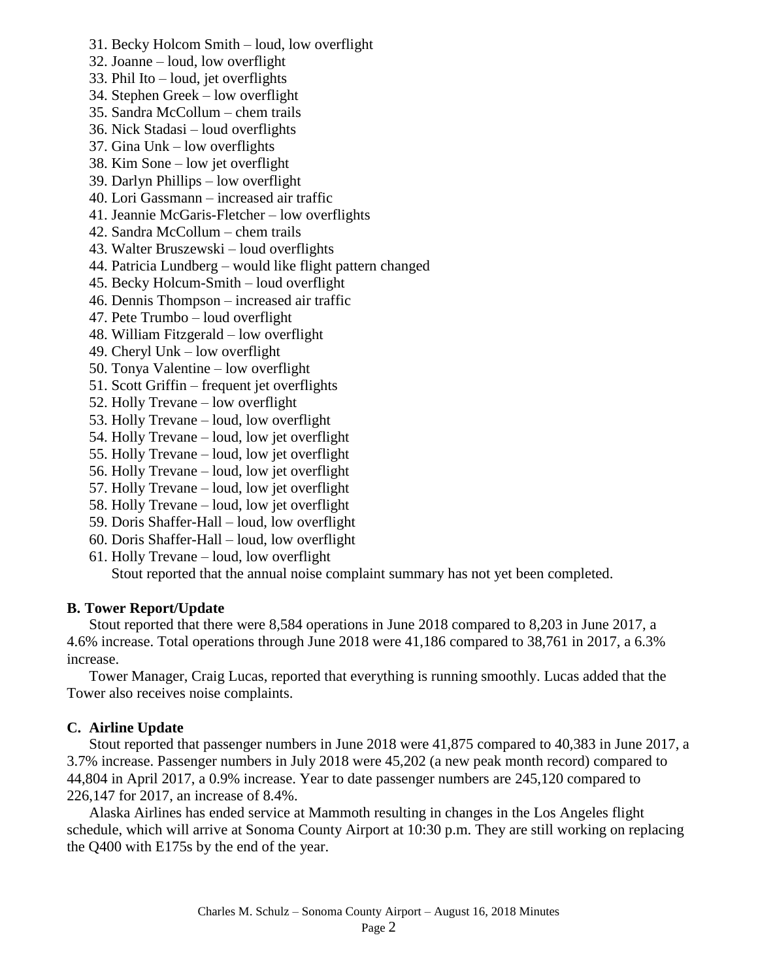- 31. Becky Holcom Smith loud, low overflight
- 32. Joanne loud, low overflight
- 33. Phil Ito loud, jet overflights
- 34. Stephen Greek low overflight
- 35. Sandra McCollum chem trails
- 36. Nick Stadasi loud overflights
- 37. Gina Unk low overflights
- 38. Kim Sone low jet overflight
- 39. Darlyn Phillips low overflight
- 40. Lori Gassmann increased air traffic
- 41. Jeannie McGaris-Fletcher low overflights
- 42. Sandra McCollum chem trails
- 43. Walter Bruszewski loud overflights
- 44. Patricia Lundberg would like flight pattern changed
- 45. Becky Holcum-Smith loud overflight
- 46. Dennis Thompson increased air traffic
- 47. Pete Trumbo loud overflight
- 48. William Fitzgerald low overflight
- 49. Cheryl Unk low overflight
- 50. Tonya Valentine low overflight
- 51. Scott Griffin frequent jet overflights
- 52. Holly Trevane low overflight
- 53. Holly Trevane loud, low overflight
- 54. Holly Trevane loud, low jet overflight
- 55. Holly Trevane loud, low jet overflight
- 56. Holly Trevane loud, low jet overflight
- 57. Holly Trevane loud, low jet overflight
- 58. Holly Trevane loud, low jet overflight
- 59. Doris Shaffer-Hall loud, low overflight
- 60. Doris Shaffer-Hall loud, low overflight
- 61. Holly Trevane loud, low overflight

Stout reported that the annual noise complaint summary has not yet been completed.

## **B. Tower Report/Update**

Stout reported that there were 8,584 operations in June 2018 compared to 8,203 in June 2017, a 4.6% increase. Total operations through June 2018 were 41,186 compared to 38,761 in 2017, a 6.3% increase.

Tower Manager, Craig Lucas, reported that everything is running smoothly. Lucas added that the Tower also receives noise complaints.

## **C. Airline Update**

Stout reported that passenger numbers in June 2018 were 41,875 compared to 40,383 in June 2017, a 3.7% increase. Passenger numbers in July 2018 were 45,202 (a new peak month record) compared to 44,804 in April 2017, a 0.9% increase. Year to date passenger numbers are 245,120 compared to 226,147 for 2017, an increase of 8.4%.

Alaska Airlines has ended service at Mammoth resulting in changes in the Los Angeles flight schedule, which will arrive at Sonoma County Airport at 10:30 p.m. They are still working on replacing the Q400 with E175s by the end of the year.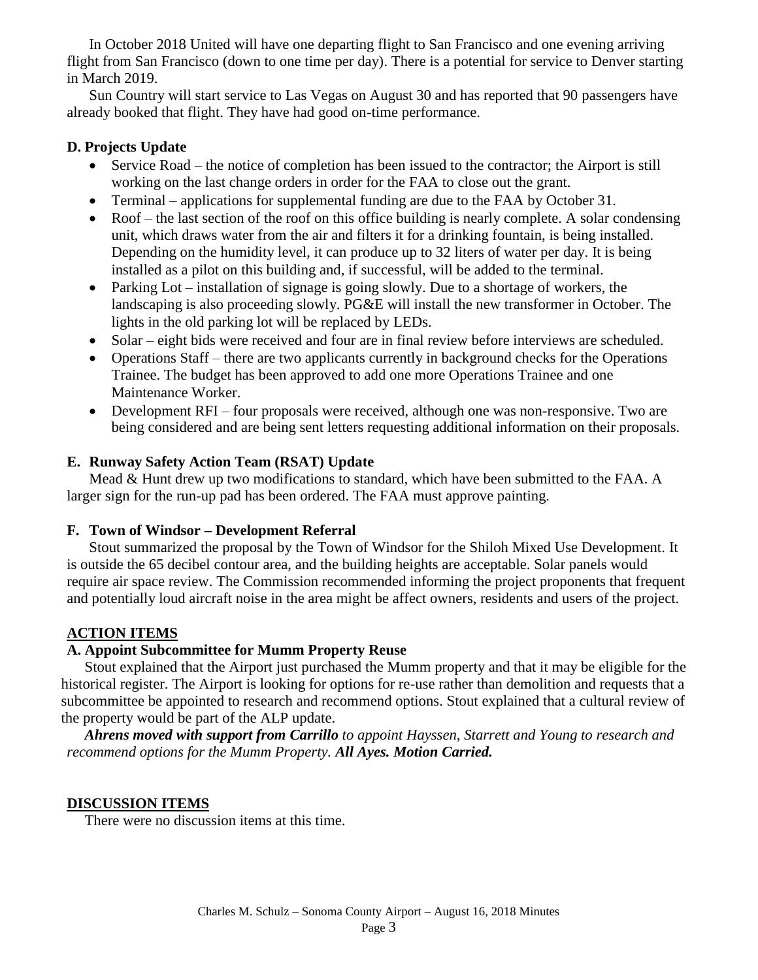In October 2018 United will have one departing flight to San Francisco and one evening arriving flight from San Francisco (down to one time per day). There is a potential for service to Denver starting in March 2019.

Sun Country will start service to Las Vegas on August 30 and has reported that 90 passengers have already booked that flight. They have had good on-time performance.

#### **D. Projects Update**

- Service Road the notice of completion has been issued to the contractor; the Airport is still working on the last change orders in order for the FAA to close out the grant.
- Terminal applications for supplemental funding are due to the FAA by October 31.
- Roof the last section of the roof on this office building is nearly complete. A solar condensing unit, which draws water from the air and filters it for a drinking fountain, is being installed. Depending on the humidity level, it can produce up to 32 liters of water per day. It is being installed as a pilot on this building and, if successful, will be added to the terminal.
- Parking Lot installation of signage is going slowly. Due to a shortage of workers, the landscaping is also proceeding slowly. PG&E will install the new transformer in October. The lights in the old parking lot will be replaced by LEDs.
- Solar eight bids were received and four are in final review before interviews are scheduled.
- Operations Staff there are two applicants currently in background checks for the Operations Trainee. The budget has been approved to add one more Operations Trainee and one Maintenance Worker.
- Development RFI four proposals were received, although one was non-responsive. Two are being considered and are being sent letters requesting additional information on their proposals.

## **E. Runway Safety Action Team (RSAT) Update**

Mead & Hunt drew up two modifications to standard, which have been submitted to the FAA. A larger sign for the run-up pad has been ordered. The FAA must approve painting.

## **F. Town of Windsor – Development Referral**

Stout summarized the proposal by the Town of Windsor for the Shiloh Mixed Use Development. It is outside the 65 decibel contour area, and the building heights are acceptable. Solar panels would require air space review. The Commission recommended informing the project proponents that frequent and potentially loud aircraft noise in the area might be affect owners, residents and users of the project.

## **ACTION ITEMS**

## **A. Appoint Subcommittee for Mumm Property Reuse**

Stout explained that the Airport just purchased the Mumm property and that it may be eligible for the historical register. The Airport is looking for options for re-use rather than demolition and requests that a subcommittee be appointed to research and recommend options. Stout explained that a cultural review of the property would be part of the ALP update.

*Ahrens moved with support from Carrillo to appoint Hayssen, Starrett and Young to research and recommend options for the Mumm Property. All Ayes. Motion Carried.*

#### **DISCUSSION ITEMS**

There were no discussion items at this time.